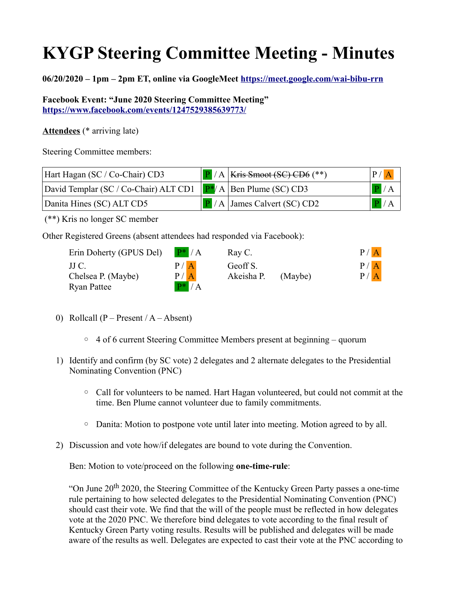## **KYGP Steering Committee Meeting - Minutes**

**06/20/2020 – 1pm – 2pm ET, online via GoogleMeet [https://meet.google.com/wai-bibu-rrn](https://meet.google.com/wai-bibu-rrn?fbclid=IwAR16zteel8DIOogQIZQWIkQq17JdgGkJOwNQ0UQ5wovSQf3WtXZZVODJ2L4)**

**Facebook Event: "June 2020 Steering Committee Meeting" <https://www.facebook.com/events/1247529385639773/>**

**Attendees** (\* arriving late)

Steering Committee members:

| Hart Hagan (SC / Co-Chair) CD3                                              | $\boxed{\text{P}}$ / A   Kris Smoot (SC) CD6 (**)                         | P /  A                                         |
|-----------------------------------------------------------------------------|---------------------------------------------------------------------------|------------------------------------------------|
| David Templar (SC / Co-Chair) ALT CD1 $\mathbb{P}^*$ / A Ben Plume (SC) CD3 |                                                                           | $\left  \frac{\mathbf{p}}{\mathbf{A}} \right $ |
| Danita Hines (SC) ALT CD5                                                   | $\left  \frac{\mathbf{P}}{\mathbf{P}} \right $ / A James Calvert (SC) CD2 | $\left  \mathbf{P} \right  / A$                |

(\*\*) Kris no longer SC member

Other Registered Greens (absent attendees had responded via Facebook):

Erin Doherty (GPUS Del)  $P^* / A$ Chelsea P. (Maybe)  $P / A$ Ryan Pattee  $\mathbf{P}^* / \mathbf{A}$ 

| Erin Doherty (GPUS Del) | $P^* / A$      | Ray C.     |         | P / A |
|-------------------------|----------------|------------|---------|-------|
| JJ C.                   | P/A            | Geoff S.   |         | P / A |
| Chelsea P. (Maybe)      | P /  A         | Akeisha P. | (Maybe) | P / A |
|                         | $\overline{1}$ |            |         |       |

- 0) Rollcall (P Present /  $A Absent$ )
	- 4 of 6 current Steering Committee Members present at beginning quorum
- 1) Identify and confirm (by SC vote) 2 delegates and 2 alternate delegates to the Presidential Nominating Convention (PNC)
	- Call for volunteers to be named. Hart Hagan volunteered, but could not commit at the time. Ben Plume cannot volunteer due to family commitments.
	- Danita: Motion to postpone vote until later into meeting. Motion agreed to by all.
- 2) Discussion and vote how/if delegates are bound to vote during the Convention.

Ben: Motion to vote/proceed on the following **one-time-rule**:

"On June 20<sup>th</sup> 2020, the Steering Committee of the Kentucky Green Party passes a one-time rule pertaining to how selected delegates to the Presidential Nominating Convention (PNC) should cast their vote. We find that the will of the people must be reflected in how delegates vote at the 2020 PNC. We therefore bind delegates to vote according to the final result of Kentucky Green Party voting results. Results will be published and delegates will be made aware of the results as well. Delegates are expected to cast their vote at the PNC according to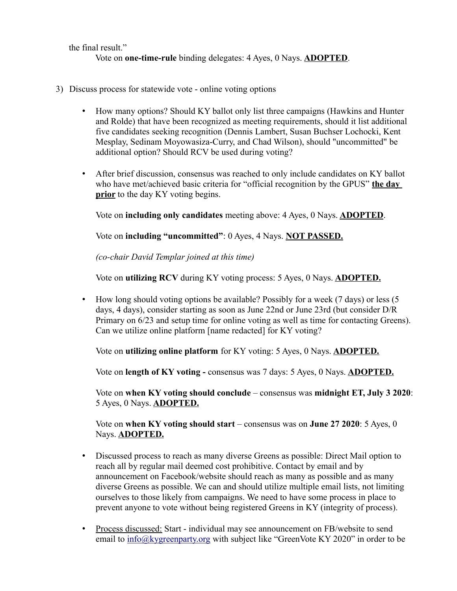the final result." Vote on **one-time-rule** binding delegates: 4 Ayes, 0 Nays. **ADOPTED**.

- 3) Discuss process for statewide vote online voting options
	- How many options? Should KY ballot only list three campaigns (Hawkins and Hunter and Rolde) that have been recognized as meeting requirements, should it list additional five candidates seeking recognition (Dennis Lambert, Susan Buchser Lochocki, Kent Mesplay, Sedinam Moyowasiza-Curry, and Chad Wilson), should "uncommitted" be additional option? Should RCV be used during voting?
	- After brief discussion, consensus was reached to only include candidates on KY ballot who have met/achieved basic criteria for "official recognition by the GPUS" **the day prior** to the day KY voting begins.

Vote on **including only candidates** meeting above: 4 Ayes, 0 Nays. **ADOPTED**.

Vote on **including "uncommitted"**: 0 Ayes, 4 Nays. **NOT PASSED.**

*(co-chair David Templar joined at this time)*

Vote on **utilizing RCV** during KY voting process: 5 Ayes, 0 Nays. **ADOPTED.**

• How long should voting options be available? Possibly for a week (7 days) or less (5 days, 4 days), consider starting as soon as June 22nd or June 23rd (but consider D/R Primary on 6/23 and setup time for online voting as well as time for contacting Greens). Can we utilize online platform [name redacted] for KY voting?

Vote on **utilizing online platform** for KY voting: 5 Ayes, 0 Nays. **ADOPTED.**

Vote on **length of KY voting -** consensus was 7 days: 5 Ayes, 0 Nays. **ADOPTED.**

Vote on **when KY voting should conclude** – consensus was **midnight ET, July 3 2020**: 5 Ayes, 0 Nays. **ADOPTED.**

Vote on **when KY voting should start** – consensus was on **June 27 2020**: 5 Ayes, 0 Nays. **ADOPTED.**

- Discussed process to reach as many diverse Greens as possible: Direct Mail option to reach all by regular mail deemed cost prohibitive. Contact by email and by announcement on Facebook/website should reach as many as possible and as many diverse Greens as possible. We can and should utilize multiple email lists, not limiting ourselves to those likely from campaigns. We need to have some process in place to prevent anyone to vote without being registered Greens in KY (integrity of process).
- Process discussed: Start individual may see announcement on FB/website to send email to [info@kygreenparty.org](mailto:info@kygreenparty.org) with subject like "GreenVote KY 2020" in order to be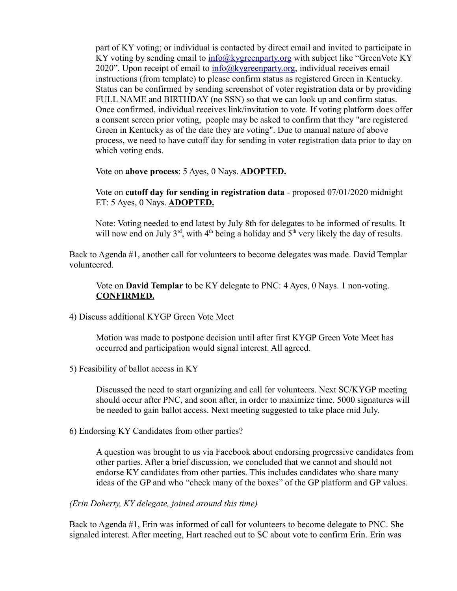part of KY voting; or individual is contacted by direct email and invited to participate in KY voting by sending email to [info@kygreenparty.org](mailto:info@kygreenparty.org) with subject like "GreenVote KY 2020". Upon receipt of email to  $\frac{info(\alpha)k}{{\text{v}}_i}$  individual receives email instructions (from template) to please confirm status as registered Green in Kentucky. Status can be confirmed by sending screenshot of voter registration data or by providing FULL NAME and BIRTHDAY (no SSN) so that we can look up and confirm status. Once confirmed, individual receives link/invitation to vote. If voting platform does offer a consent screen prior voting, people may be asked to confirm that they "are registered Green in Kentucky as of the date they are voting". Due to manual nature of above process, we need to have cutoff day for sending in voter registration data prior to day on which voting ends.

Vote on **above process**: 5 Ayes, 0 Nays. **ADOPTED.**

Vote on **cutoff day for sending in registration data** - proposed 07/01/2020 midnight ET: 5 Ayes, 0 Nays. **ADOPTED.**

Note: Voting needed to end latest by July 8th for delegates to be informed of results. It will now end on July  $3^{rd}$ , with  $4^{th}$  being a holiday and  $5^{th}$  very likely the day of results.

Back to Agenda #1, another call for volunteers to become delegates was made. David Templar volunteered.

Vote on **David Templar** to be KY delegate to PNC: 4 Ayes, 0 Nays. 1 non-voting. **CONFIRMED.**

4) Discuss additional KYGP Green Vote Meet

Motion was made to postpone decision until after first KYGP Green Vote Meet has occurred and participation would signal interest. All agreed.

5) Feasibility of ballot access in KY

Discussed the need to start organizing and call for volunteers. Next SC/KYGP meeting should occur after PNC, and soon after, in order to maximize time. 5000 signatures will be needed to gain ballot access. Next meeting suggested to take place mid July.

6) Endorsing KY Candidates from other parties?

A question was brought to us via Facebook about endorsing progressive candidates from other parties. After a brief discussion, we concluded that we cannot and should not endorse KY candidates from other parties. This includes candidates who share many ideas of the GP and who "check many of the boxes" of the GP platform and GP values.

*(Erin Doherty, KY delegate, joined around this time)*

Back to Agenda #1, Erin was informed of call for volunteers to become delegate to PNC. She signaled interest. After meeting, Hart reached out to SC about vote to confirm Erin. Erin was